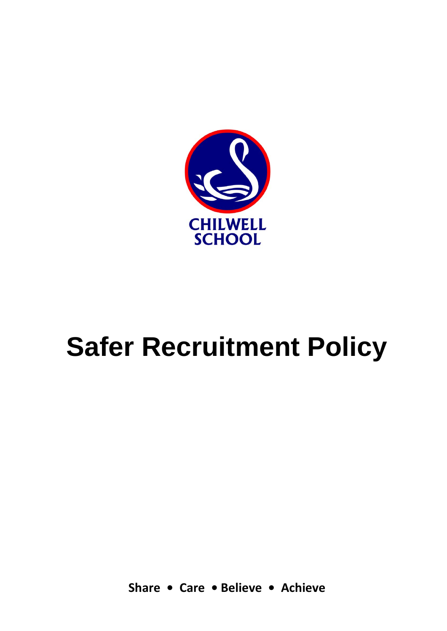

# **Safer Recruitment Policy**

**Share • Care • Believe • Achieve**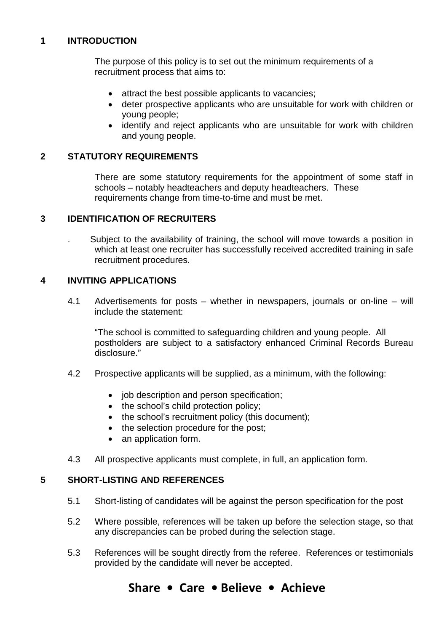## **1 INTRODUCTION**

The purpose of this policy is to set out the minimum requirements of a recruitment process that aims to:

- attract the best possible applicants to vacancies;
- deter prospective applicants who are unsuitable for work with children or young people;
- identify and reject applicants who are unsuitable for work with children and young people.

## **2 STATUTORY REQUIREMENTS**

There are some statutory requirements for the appointment of some staff in schools – notably headteachers and deputy headteachers. These requirements change from time-to-time and must be met.

## **3 IDENTIFICATION OF RECRUITERS**

. Subject to the availability of training, the school will move towards a position in which at least one recruiter has successfully received accredited training in safe recruitment procedures.

## **4 INVITING APPLICATIONS**

4.1 Advertisements for posts – whether in newspapers, journals or on-line – will include the statement:

"The school is committed to safeguarding children and young people. All postholders are subject to a satisfactory enhanced Criminal Records Bureau disclosure."

- 4.2 Prospective applicants will be supplied, as a minimum, with the following:
	- job description and person specification;
	- the school's child protection policy;
	- the school's recruitment policy (this document);
	- the selection procedure for the post;
	- an application form.
- 4.3 All prospective applicants must complete, in full, an application form.

## **5 SHORT-LISTING AND REFERENCES**

- 5.1 Short-listing of candidates will be against the person specification for the post
- 5.2 Where possible, references will be taken up before the selection stage, so that any discrepancies can be probed during the selection stage.
- 5.3 References will be sought directly from the referee. References or testimonials provided by the candidate will never be accepted.

## **Share • Care • Believe • Achieve**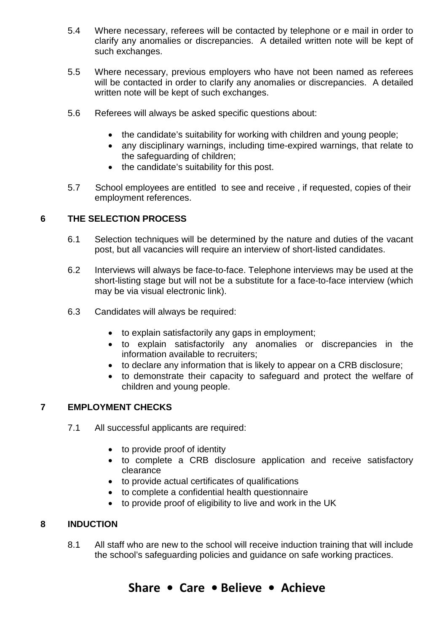- 5.4 Where necessary, referees will be contacted by telephone or e mail in order to clarify any anomalies or discrepancies. A detailed written note will be kept of such exchanges.
- 5.5 Where necessary, previous employers who have not been named as referees will be contacted in order to clarify any anomalies or discrepancies. A detailed written note will be kept of such exchanges.
- 5.6 Referees will always be asked specific questions about:
	- the candidate's suitability for working with children and young people;
	- any disciplinary warnings, including time-expired warnings, that relate to the safeguarding of children;
	- the candidate's suitability for this post.
- 5.7 School employees are entitled to see and receive , if requested, copies of their employment references.

## **6 THE SELECTION PROCESS**

- 6.1 Selection techniques will be determined by the nature and duties of the vacant post, but all vacancies will require an interview of short-listed candidates.
- 6.2 Interviews will always be face-to-face. Telephone interviews may be used at the short-listing stage but will not be a substitute for a face-to-face interview (which may be via visual electronic link).
- 6.3 Candidates will always be required:
	- to explain satisfactorily any gaps in employment;
	- to explain satisfactorily any anomalies or discrepancies in the information available to recruiters;
	- to declare any information that is likely to appear on a CRB disclosure;
	- to demonstrate their capacity to safeguard and protect the welfare of children and young people.

## **7 EMPLOYMENT CHECKS**

- 7.1 All successful applicants are required:
	- to provide proof of identity
	- to complete a CRB disclosure application and receive satisfactory clearance
	- to provide actual certificates of qualifications
	- to complete a confidential health questionnaire
	- to provide proof of eligibility to live and work in the UK

## **8 INDUCTION**

8.1 All staff who are new to the school will receive induction training that will include the school's safeguarding policies and guidance on safe working practices.

## **Share • Care • Believe • Achieve**